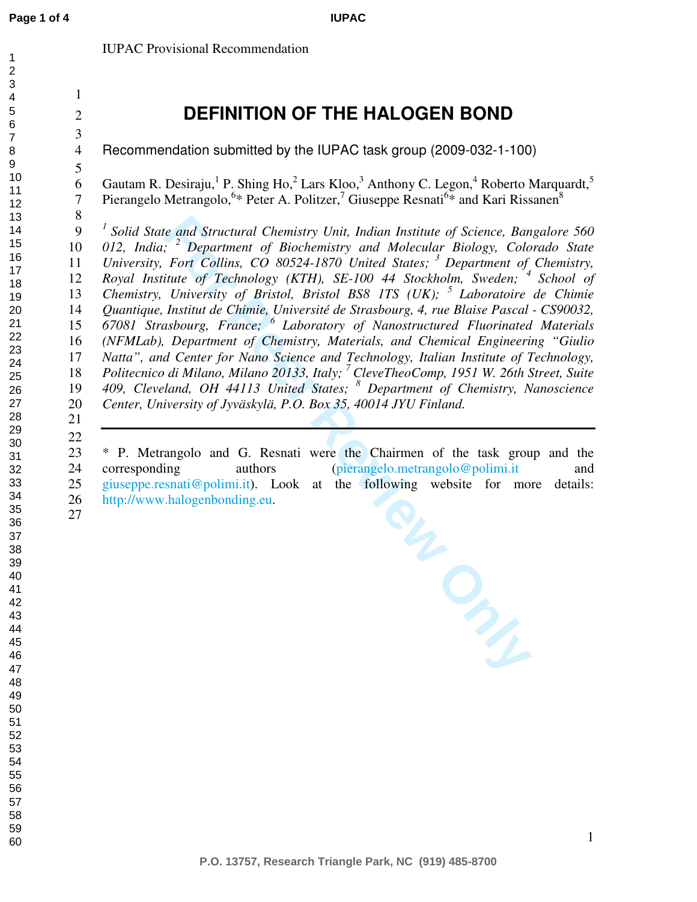IUPAC Provisional Recommendation

## **DEFINITION OF THE HALOGEN BOND**

**IUPAC**

Recommendation submitted by the IUPAC task group (2009-032-1-100)

Gautam R. Desiraju, <sup>1</sup> P. Shing Ho,  $^2$  Lars Kloo,  $^3$  Anthony C. Legon,  $^4$  Roberto Marquardt,  $^5$ 7 Pierangelo Metrangolo,<sup>6\*</sup> Peter A. Politzer,<sup>7</sup> Giuseppe Resnati<sup>6\*</sup> and Kari Rissanen<sup>8</sup>

*<sup>1</sup>Solid State and Structural Chemistry Unit, Indian Institute of Science, Bangalore 560 012, India; <sup>2</sup>Department of Biochemistry and Molecular Biology, Colorado State University, Fort Collins, CO 80524-1870 United States; <sup>3</sup>Department of Chemistry,*  12 Royal Institute of Technology (KTH), SE-100 44 Stockholm, Sweden; <sup>4</sup> School of *Chemistry, University of Bristol, Bristol BS8 1TS (UK); <sup>5</sup>Laboratoire de Chimie Quantique, Institut de Chimie, Université de Strasbourg, 4, rue Blaise Pascal - CS90032, 67081 Strasbourg, France; <sup>6</sup>Laboratory of Nanostructured Fluorinated Materials (NFMLab), Department of Chemistry, Materials, and Chemical Engineering "Giulio Natta", and Center for Nano Science and Technology, Italian Institute of Technology, Politecnico di Milano, Milano 20133, Italy; <sup>7</sup>CleveTheoComp, 1951 W. 26th Street, Suite 409, Cleveland, OH 44113 United States; <sup>8</sup> Department of Chemistry, Nanoscience Center, University of Jyväskylä, P.O. Box 35, 40014 JYU Finland.*

corresponding authors (pierangelo.metrangolo@polimi.it giuseppe.resnati@polimi.it). Look at the following website for more http://www.halogenbonding.eu. 23 \* P. Metrangolo and G. Resnati were the Chairmen of the task group and the 24 corresponding authors (pierangelo.metrangolo@polimi.it and 25 giuseppe.resnati@polimi.it). Look at the following website for more details: 26 http://www.halogenbonding.eu.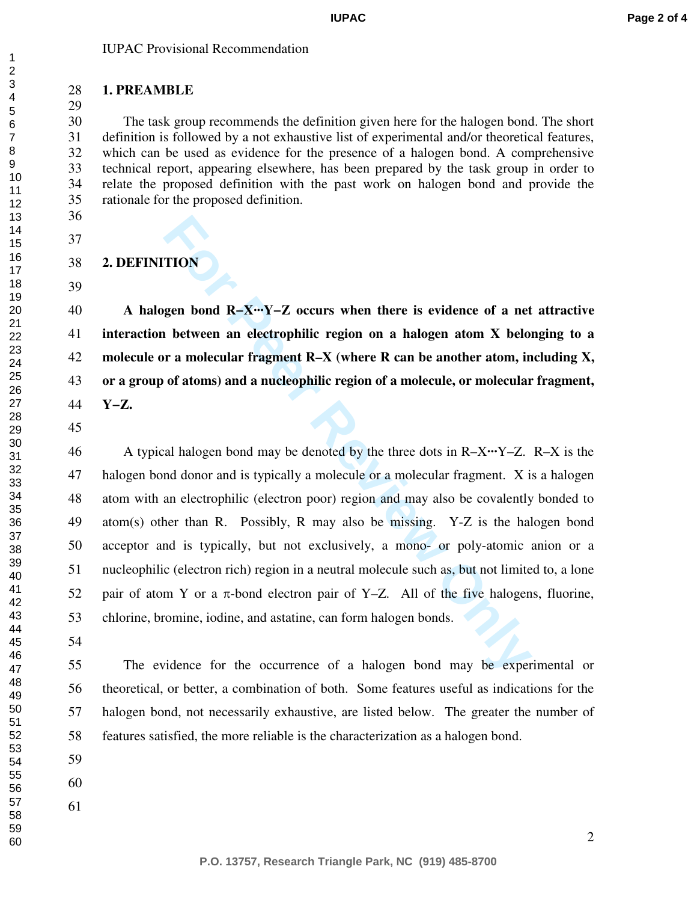## IUPAC Provisional Recommendation

## **1. PREAMBLE**

30 The task group recommends the definition given here for the halogen bond. The short 31 definition is followed by a not exhaustive list of experimental and/or theoretical features, 32 which can be used as evidence for the presence of a halogen bond. A comprehensive 33 technical report, appearing elsewhere, has been prepared by the task group in order to 34 relate the proposed definition with the past work on halogen bond and provide the 35 rationale for the proposed definition.

**2. DEFINITION** 

**A halogen bond R−X···Y−Z occurs when there is evidence of a net attractive interaction between an electrophilic region on a halogen atom X belonging to a molecule or a molecular fragment R–X (where R can be another atom, including X, or a group of atoms) and a nucleophilic region of a molecule, or molecular fragment, Y−Z.** 

**FION**<br>**Formularity 1980**<br>**Formularity 1980**<br>**Formularity 1980**<br>**Formularity 1980**<br>**Formularity 1980**<br>**Formularity 1980**<br>**Formularity 1980**<br>**Formularity 1980**<br>**Formularity 1980**<br>**Formularity 1980**<br>**Formularity 1980**<br>**Form** 46 A typical halogen bond may be denoted by the three dots in R–X**···**Y–Z. R–X is the 47 halogen bond donor and is typically a molecule or a molecular fragment. X is a halogen 48 atom with an electrophilic (electron poor) region and may also be covalently bonded to 49 atom(s) other than R. Possibly, R may also be missing. Y-Z is the halogen bond 50 acceptor and is typically, but not exclusively, a mono- or poly-atomic anion or a 51 nucleophilic (electron rich) region in a neutral molecule such as, but not limited to, a lone 52 pair of atom Y or a  $\pi$ -bond electron pair of Y–Z. All of the five halogens, fluorine, 53 chlorine, bromine, iodine, and astatine, can form halogen bonds.

55 The evidence for the occurrence of a halogen bond may be experimental or 56 theoretical, or better, a combination of both. Some features useful as indications for the 57 halogen bond, not necessarily exhaustive, are listed below. The greater the number of 58 features satisfied, the more reliable is the characterization as a halogen bond.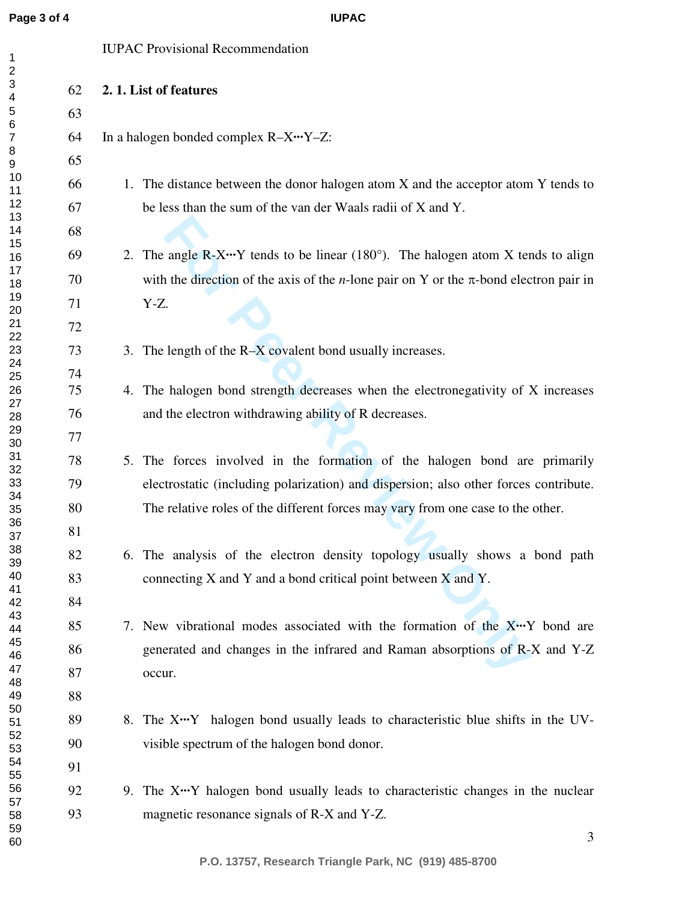**IUPAC**

IUPAC Provisional Recommendation

| 2<br>3                |    |                                                                                                       |
|-----------------------|----|-------------------------------------------------------------------------------------------------------|
| 4                     | 62 | 2.1. List of features                                                                                 |
| 5<br>6                | 63 |                                                                                                       |
| $\boldsymbol{7}$<br>8 | 64 | In a halogen bonded complex R-X…Y-Z:                                                                  |
| 9                     | 65 |                                                                                                       |
| 10<br>11              | 66 | 1. The distance between the donor halogen atom X and the acceptor atom Y tends to                     |
| 12<br>13              | 67 | be less than the sum of the van der Waals radii of X and Y.                                           |
| 14                    | 68 |                                                                                                       |
| 15<br>16              | 69 | 2. The angle $R - X \cdots Y$ tends to be linear (180 $^{\circ}$ ). The halogen atom X tends to align |
| 17<br>18              | 70 | with the direction of the axis of the <i>n</i> -lone pair on Y or the $\pi$ -bond electron pair in    |
| 19<br>20              | 71 | Y-Z.                                                                                                  |
| 21                    | 72 |                                                                                                       |
| 22<br>23              | 73 | 3. The length of the R-X covalent bond usually increases.                                             |
| 24<br>25              | 74 |                                                                                                       |
| 26                    | 75 | 4. The halogen bond strength decreases when the electronegativity of X increases                      |
| 27<br>28              | 76 | and the electron withdrawing ability of R decreases.                                                  |
| 29<br>30              | 77 |                                                                                                       |
| 31<br>32              | 78 | 5. The forces involved in the formation of the halogen bond are primarily                             |
| 33                    | 79 | electrostatic (including polarization) and dispersion; also other forces contribute.                  |
| 34<br>35              | 80 | The relative roles of the different forces may vary from one case to the other.                       |
| 36<br>37              | 81 |                                                                                                       |
| 38<br>39              | 82 | 6. The analysis of the electron density topology usually shows a bond path                            |
| 40                    | 83 | connecting X and Y and a bond critical point between X and Y.                                         |
| 41<br>42              | 84 |                                                                                                       |
| 43<br>44              | 85 | 7. New vibrational modes associated with the formation of the X. Y bond are                           |
| 45<br>46              | 86 | generated and changes in the infrared and Raman absorptions of R-X and Y-Z                            |
| 47                    | 87 | occur.                                                                                                |
| 48<br>49              | 88 |                                                                                                       |
| 50<br>51              | 89 | 8. The X <sup>**</sup> Y halogen bond usually leads to characteristic blue shifts in the UV-          |
| 52<br>53              | 90 | visible spectrum of the halogen bond donor.                                                           |
| 54<br>55              | 91 |                                                                                                       |
| 56                    | 92 | 9. The X···Y halogen bond usually leads to characteristic changes in the nuclear                      |
| 57<br>58              | 93 | magnetic resonance signals of R-X and Y-Z.                                                            |
| 59<br>60              |    | 3                                                                                                     |